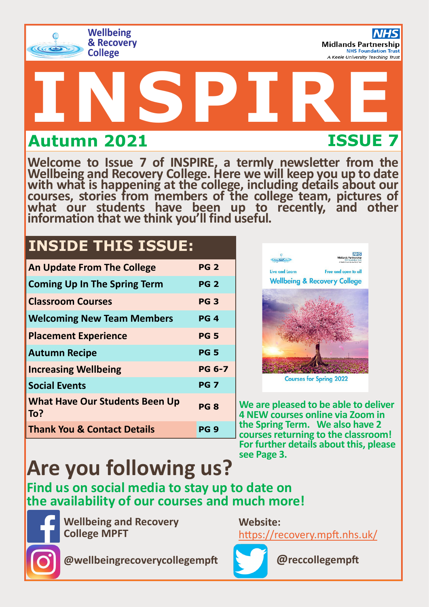

# **INSPIRE Autumn 2021 ISSUE 7**

**Welcome to Issue 7 of INSPIRE, a termly newsletter from the Wellbeing and Recovery College. Here we will keep you up to date with what is happening at the college, including details about our courses, stories from members of the college team, pictures of**  what our students have been up to recently, and other **information that we think you'll find useful.** 

# **INSIDE THIS ISSUE:**

| <b>An Update From The College</b>            | <b>PG 2</b>   |
|----------------------------------------------|---------------|
| <b>Coming Up In The Spring Term</b>          | <b>PG 2</b>   |
| <b>Classroom Courses</b>                     | <b>PG3</b>    |
| <b>Welcoming New Team Members</b>            | PG 4          |
| <b>Placement Experience</b>                  | <b>PG 5</b>   |
| <b>Autumn Recipe</b>                         | <b>PG 5</b>   |
| <b>Increasing Wellbeing</b>                  | <b>PG 6-7</b> |
| <b>Social Events</b>                         | <b>PG 7</b>   |
| <b>What Have Our Students Been Up</b><br>To? | <b>PG 8</b>   |
| <b>Thank You &amp; Contact Details</b>       | PG 9          |



**Courses for Spring 2022** 

**We are pleased to be able to deliver 4 NEW courses online via Zoom in the Spring Term. We also have 2 courses returning to the classroom! For further details about this, please see Page 3.** 

# **Are you following us?**

**Find us on social media to stay up to date on the availability of our courses and much more!**



**Wellbeing and Recovery College MPFT**

**Website:** <https://recovery.mpft.nhs.uk/>



**@reccollegempft**

**@wellbeingrecoverycollegempft**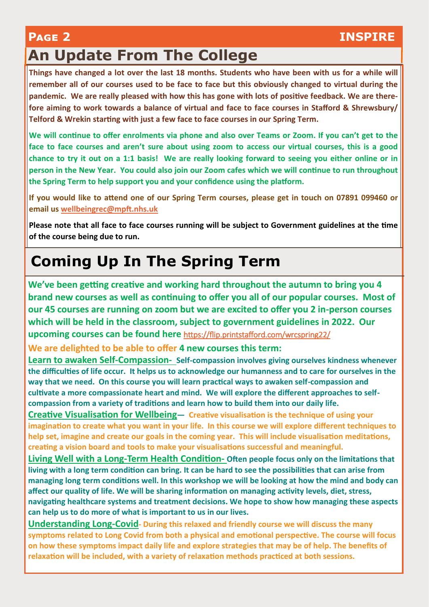### **Page 2 INSPIRE**

# **An Update From The College**

**Things have changed a lot over the last 18 months. Students who have been with us for a while will remember all of our courses used to be face to face but this obviously changed to virtual during the pandemic. We are really pleased with how this has gone with lots of positive feedback. We are therefore aiming to work towards a balance of virtual and face to face courses in Stafford & Shrewsbury/ Telford & Wrekin starting with just a few face to face courses in our Spring Term.**

**We will continue to offer enrolments via phone and also over Teams or Zoom. If you can't get to the face to face courses and aren't sure about using zoom to access our virtual courses, this is a good chance to try it out on a 1:1 basis! We are really looking forward to seeing you either online or in person in the New Year. You could also join our Zoom cafes which we will continue to run throughout the Spring Term to help support you and your confidence using the platform.**

**If you would like to attend one of our Spring Term courses, please get in touch on 07891 099460 or email us [wellbeingrec@mpft.nhs.uk](mailto:wellbeingrec@mpft.nhs.uk)**

**Please note that all face to face courses running will be subject to Government guidelines at the time of the course being due to run.** 

# **Coming Up In The Spring Term**

**We've been getting creative and working hard throughout the autumn to bring you 4 brand new courses as well as continuing to offer you all of our popular courses. Most of our 45 courses are running on zoom but we are excited to offer you 2 in-person courses which will be held in the classroom, subject to government guidelines in 2022. Our upcoming courses can be found here** <https://flip.printstafford.com/wrcspring22/>

**We are delighted to be able to offer 4 new courses this term:**

**Learn to awaken Self-Compassion- Self-compassion involves giving ourselves kindness whenever the difficulties of life occur. It helps us to acknowledge our humanness and to care for ourselves in the way that we need. On this course you will learn practical ways to awaken self-compassion and cultivate a more compassionate heart and mind. We will explore the different approaches to selfcompassion from a variety of traditions and learn how to build them into our daily life.**

**Creative Visualisation for Wellbeing— Creative visualisation is the technique of using your imagination to create what you want in your life. In this course we will explore different techniques to help set, imagine and create our goals in the coming year. This will include visualisation meditations, creating a vision board and tools to make your visualisations successful and meaningful.**

**Living Well with a Long-Term Health Condition- Often people focus only on the limitations that living with a long term condition can bring. It can be hard to see the possibilities that can arise from managing long term conditions well. In this workshop we will be looking at how the mind and body can affect our quality of life. We will be sharing information on managing activity levels, diet, stress, navigating healthcare systems and treatment decisions. We hope to show how managing these aspects can help us to do more of what is important to us in our lives.** 

**Understanding Long-Covid- During this relaxed and friendly course we will discuss the many symptoms related to Long Covid from both a physical and emotional perspective. The course will focus on how these symptoms impact daily life and explore strategies that may be of help. The benefits of relaxation will be included, with a variety of relaxation methods practiced at both sessions.**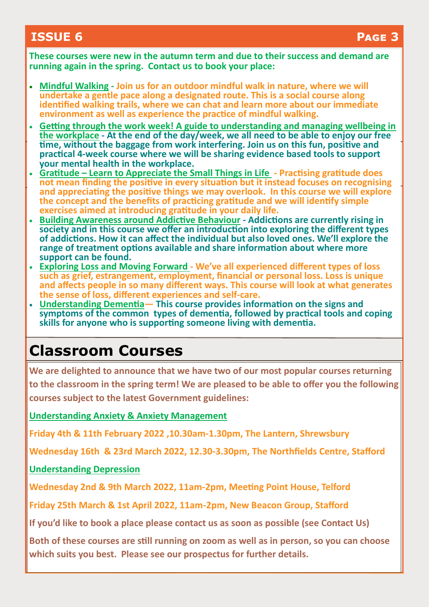### **ISSUE 6 Page 3**

**These courses were new in the autumn term and due to their success and demand are running again in the spring. Contact us to book your place:**

- **Mindful Walking - Join us for an outdoor mindful walk in nature, where we will undertake a gentle pace along a designated route. This is a social course along identified walking trails, where we can chat and learn more about our immediate environment as well as experience the practice of mindful walking.**
- **Getting through the work week! A guide to understanding and managing wellbeing in the workplace - At the end of the day/week, we all need to be able to enjoy our free time, without the baggage from work interfering. Join us on this fun, positive and practical 4-week course where we will be sharing evidence based tools to support your mental health in the workplace.**
- **Gratitude Learn to Appreciate the Small Things in Life - Practising gratitude does not mean finding the positive in every situation but it instead focuses on recognising and appreciating the positive things we may overlook. In this course we will explore the concept and the benefits of practicing gratitude and we will identify simple exercises aimed at introducing gratitude in your daily life.**
- **Building Awareness around Addictive Behaviour - Addictions are currently rising in society and in this course we offer an introduction into exploring the different types of addictions. How it can affect the individual but also loved ones. We'll explore the range of treatment options available and share information about where more support can be found.**
- **Exploring Loss and Moving Forward - We've all experienced different types of loss such as grief, estrangement, employment, financial or personal loss. Loss is unique and affects people in so many different ways. This course will look at what generates the sense of loss, different experiences and self-care.**
- **Understanding Dementia— This course provides information on the signs and symptoms of the common types of dementia, followed by practical tools and coping skills for anyone who is supporting someone living with dementia.**

### **Classroom Courses**

**We are delighted to announce that we have two of our most popular courses returning to the classroom in the spring term! We are pleased to be able to offer you the following courses subject to the latest Government guidelines:**

**Understanding Anxiety & Anxiety Management**

**Friday 4th & 11th February 2022 ,10.30am-1.30pm, The Lantern, Shrewsbury**

**Wednesday 16th & 23rd March 2022, 12.30-3.30pm, The Northfields Centre, Stafford**

### **Understanding Depression**

**Wednesday 2nd & 9th March 2022, 11am-2pm, Meeting Point House, Telford**

**Friday 25th March & 1st April 2022, 11am-2pm, New Beacon Group, Stafford**

**If you'd like to book a place please contact us as soon as possible (see Contact Us)** 

**Both of these courses are still running on zoom as well as in person, so you can choose which suits you best. Please see our prospectus for further details.**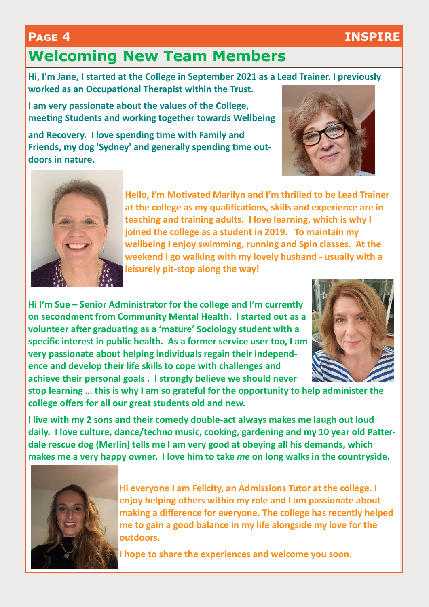### **Page 4 INSPIRE**

# **Welcoming New Team Members**

**Hi, I'm Jane, I started at the College in September 2021 as a Lead Trainer. I previously worked as an Occupational Therapist within the Trust.**

**I am very passionate about the values of the College, meeting Students and working together towards Wellbeing** 

**and Recovery. I love spending time with Family and Friends, my dog 'Sydney' and generally spending time outdoors in nature.**





**Hello, I'm Motivated Marilyn and I'm thrilled to be Lead Trainer at the college as my qualifications, skills and experience are in teaching and training adults. I love learning, which is why I joined the college as a student in 2019. To maintain my wellbeing I enjoy swimming, running and Spin classes. At the weekend I go walking with my lovely husband - usually with a leisurely pit-stop along the way!** 

**Hi I'm Sue – Senior Administrator for the college and I'm currently on secondment from Community Mental Health. I started out as a volunteer after graduating as a 'mature' Sociology student with a specific interest in public health. As a former service user too, I am very passionate about helping individuals regain their independence and develop their life skills to cope with challenges and achieve their personal goals . I strongly believe we should never** 



**stop learning … this is why I am so grateful for the opportunity to help administer the college offers for all our great students old and new.**

**I live with my 2 sons and their comedy double-act always makes me laugh out loud daily. I love culture, dance/techno music, cooking, gardening and my 10 year old Patterdale rescue dog (Merlin) tells me I am very good at obeying all his demands, which makes me a very happy owner. I love him to take** *me* **on long walks in the countryside.**



**Hi everyone I am Felicity, an Admissions Tutor at the college. I enjoy helping others within my role and I am passionate about making a difference for everyone. The college has recently helped me to gain a good balance in my life alongside my love for the outdoors.** 

**I hope to share the experiences and welcome you soon.**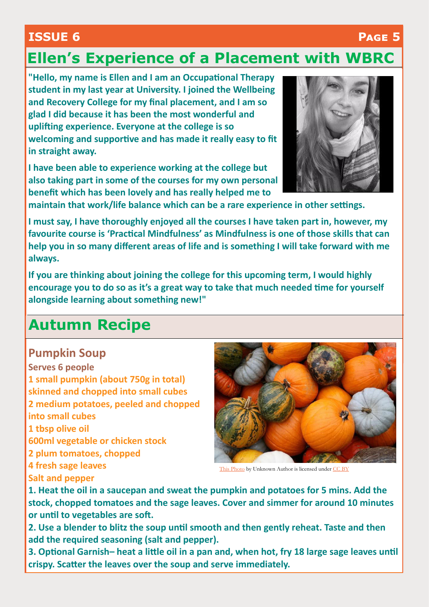### **ISSUE 6 Page 5**

# **Ellen's Experience of a Placement with WBRC**

**"Hello, my name is Ellen and I am an Occupational Therapy student in my last year at University. I joined the Wellbeing and Recovery College for my final placement, and I am so glad I did because it has been the most wonderful and uplifting experience. Everyone at the college is so welcoming and supportive and has made it really easy to fit in straight away.** 

**I have been able to experience working at the college but also taking part in some of the courses for my own personal benefit which has been lovely and has really helped me to** 



**maintain that work/life balance which can be a rare experience in other settings.** 

**I must say, I have thoroughly enjoyed all the courses I have taken part in, however, my favourite course is 'Practical Mindfulness' as Mindfulness is one of those skills that can help you in so many different areas of life and is something I will take forward with me always.** 

**If you are thinking about joining the college for this upcoming term, I would highly encourage you to do so as it's a great way to take that much needed time for yourself alongside learning about something new!"**

### **Autumn Recipe**

### **Pumpkin Soup**

**Serves 6 people 1 small pumpkin (about 750g in total) skinned and chopped into small cubes 2 medium potatoes, peeled and chopped into small cubes 1 tbsp olive oil 600ml vegetable or chicken stock 2 plum tomatoes, chopped 4 fresh sage leaves Salt and pepper**



[This Photo b](http://www.foodista.com/blog/2011/09/25/3-must-try-vegan-pumpkin-recipes)y Unknown Author is licensed under [CC BY](https://creativecommons.org/licenses/by/3.0/)

**1. Heat the oil in a saucepan and sweat the pumpkin and potatoes for 5 mins. Add the stock, chopped tomatoes and the sage leaves. Cover and simmer for around 10 minutes or until to vegetables are soft.**

**2. Use a blender to blitz the soup until smooth and then gently reheat. Taste and then add the required seasoning (salt and pepper).**

**3. Optional Garnish– heat a little oil in a pan and, when hot, fry 18 large sage leaves until crispy. Scatter the leaves over the soup and serve immediately.**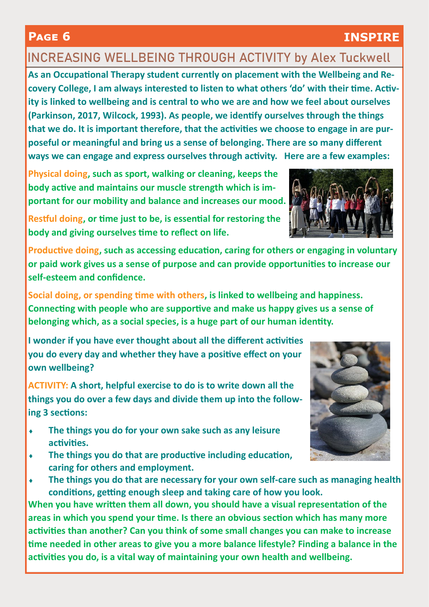### **INCREASING WELLBEING THROUGH ACTIVITY** by Alex Tuckwell

**As an Occupational Therapy student currently on placement with the Wellbeing and Recovery College, I am always interested to listen to what others 'do' with their time. Activity is linked to wellbeing and is central to who we are and how we feel about ourselves (Parkinson, 2017, Wilcock, 1993). As people, we identify ourselves through the things that we do. It is important therefore, that the activities we choose to engage in are purposeful or meaningful and bring us a sense of belonging. There are so many different ways we can engage and express ourselves through activity. Here are a few examples:** 

**Physical doing, such as sport, walking or cleaning, keeps the body active and maintains our muscle strength which is important for our mobility and balance and increases our mood.** 

**Restful doing, or time just to be, is essential for restoring the body and giving ourselves time to reflect on life.** 

**Productive doing, such as accessing education, caring for others or engaging in voluntary or paid work gives us a sense of purpose and can provide opportunities to increase our self-esteem and confidence.** 

**Social doing, or spending time with others, is linked to wellbeing and happiness. Connecting with people who are supportive and make us happy gives us a sense of belonging which, as a social species, is a huge part of our human identity.** 

**I wonder if you have ever thought about all the different activities you do every day and whether they have a positive effect on your own wellbeing?** 

**ACTIVITY: A short, helpful exercise to do is to write down all the things you do over a few days and divide them up into the following 3 sections:** 

- **The things you do for your own sake such as any leisure activities.**
- **The things you do that are productive including education, caring for others and employment.**
- **The things you do that are necessary for your own self-care such as managing health conditions, getting enough sleep and taking care of how you look.**

**When you have written them all down, you should have a visual representation of the areas in which you spend your time. Is there an obvious section which has many more activities than another? Can you think of some small changes you can make to increase time needed in other areas to give you a more balance lifestyle? Finding a balance in the activities you do, is a vital way of maintaining your own health and wellbeing.** 





### **Page 6 INSPIRE**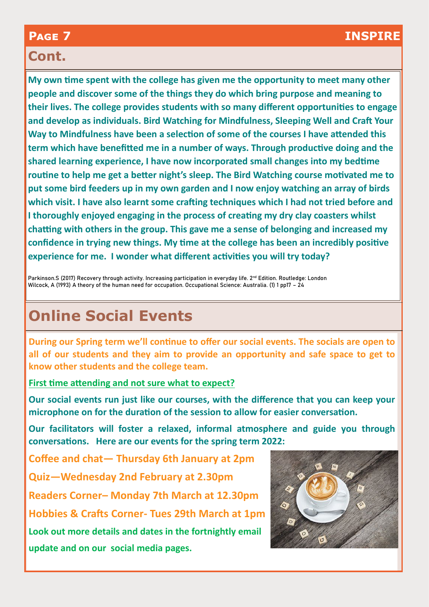### **Cont.**

**My own time spent with the college has given me the opportunity to meet many other people and discover some of the things they do which bring purpose and meaning to their lives. The college provides students with so many different opportunities to engage and develop as individuals. Bird Watching for Mindfulness, Sleeping Well and Craft Your Way to Mindfulness have been a selection of some of the courses I have attended this term which have benefitted me in a number of ways. Through productive doing and the shared learning experience, I have now incorporated small changes into my bedtime routine to help me get a better night's sleep. The Bird Watching course motivated me to put some bird feeders up in my own garden and I now enjoy watching an array of birds which visit. I have also learnt some crafting techniques which I had not tried before and I thoroughly enjoyed engaging in the process of creating my dry clay coasters whilst chatting with others in the group. This gave me a sense of belonging and increased my confidence in trying new things. My time at the college has been an incredibly positive experience for me. I wonder what different activities you will try today?**

Parkinson.S (2017) Recovery through activity. Increasing participation in everyday life. 2<sup>nd</sup> Edition. Routledge: London Wilcock, A (1993) A theory of the human need for occupation. Occupational Science: Australia. (1) 1 pp17 – 24

# **Online Social Events**

**During our Spring term we'll continue to offer our social events. The socials are open to all of our students and they aim to provide an opportunity and safe space to get to know other students and the college team.** 

**First time attending and not sure what to expect?**

**Our social events run just like our courses, with the difference that you can keep your microphone on for the duration of the session to allow for easier conversation.**

**Our facilitators will foster a relaxed, informal atmosphere and guide you through conversations. Here are our events for the spring term 2022:**

**Coffee and chat— Thursday 6th January at 2pm**

**Quiz—Wednesday 2nd February at 2.30pm**

**Readers Corner– Monday 7th March at 12.30pm**

**Hobbies & Crafts Corner- Tues 29th March at 1pm**

**Look out more details and dates in the fortnightly email update and on our social media pages.** 

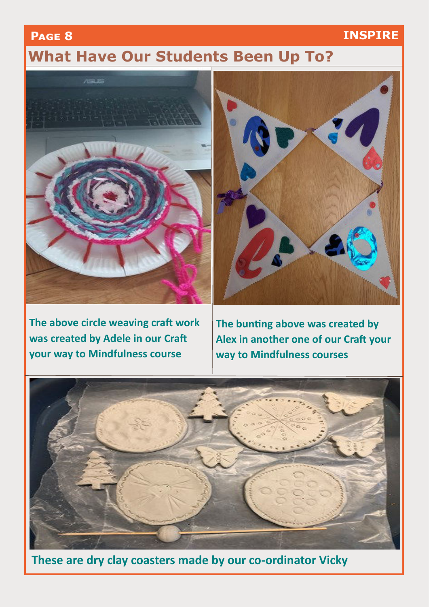### **Page 8 INSPIRE**

## **What Have Our Students Been Up To?**



**The above circle weaving craft work was created by Adele in our Craft your way to Mindfulness course**



**The bunting above was created by Alex in another one of our Craft your way to Mindfulness courses**



**These are dry clay coasters made by our co-ordinator Vicky**